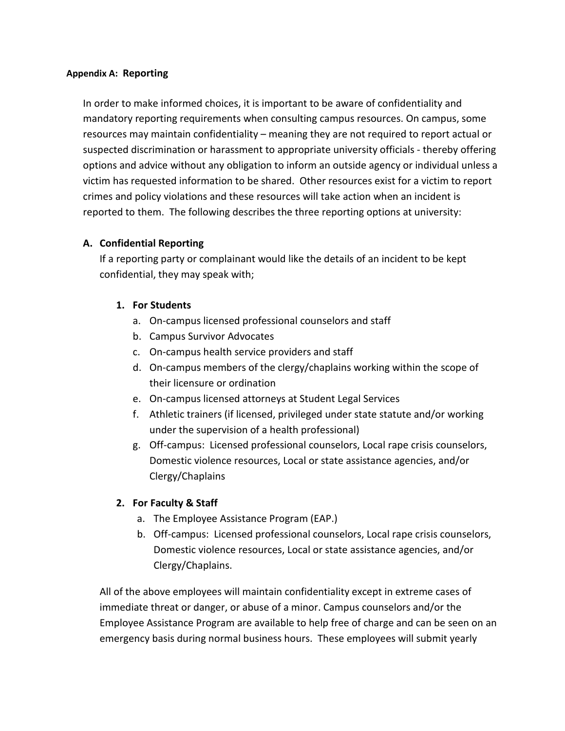## **Appendix A: Reporting**

In order to make informed choices, it is important to be aware of confidentiality and mandatory reporting requirements when consulting campus resources. On campus, some resources may maintain confidentiality – meaning they are not required to report actual or suspected discrimination or harassment to appropriate university officials - thereby offering options and advice without any obligation to inform an outside agency or individual unless a victim has requested information to be shared. Other resources exist for a victim to report crimes and policy violations and these resources will take action when an incident is reported to them. The following describes the three reporting options at university:

# **A. Confidential Reporting**

If a reporting party or complainant would like the details of an incident to be kept confidential, they may speak with;

# **1. For Students**

- a. On-campus licensed professional counselors and staff
- b. Campus Survivor Advocates
- c. On-campus health service providers and staff
- d. On-campus members of the clergy/chaplains working within the scope of their licensure or ordination
- e. On-campus licensed attorneys at Student Legal Services
- f. Athletic trainers (if licensed, privileged under state statute and/or working under the supervision of a health professional)
- g. Off-campus: Licensed professional counselors, Local rape crisis counselors, Domestic violence resources, Local or state assistance agencies, and/or Clergy/Chaplains

# **2. For Faculty & Staff**

- a. The Employee Assistance Program (EAP.)
- b. Off-campus: Licensed professional counselors, Local rape crisis counselors, Domestic violence resources, Local or state assistance agencies, and/or Clergy/Chaplains.

All of the above employees will maintain confidentiality except in extreme cases of immediate threat or danger, or abuse of a minor. Campus counselors and/or the Employee Assistance Program are available to help free of charge and can be seen on an emergency basis during normal business hours. These employees will submit yearly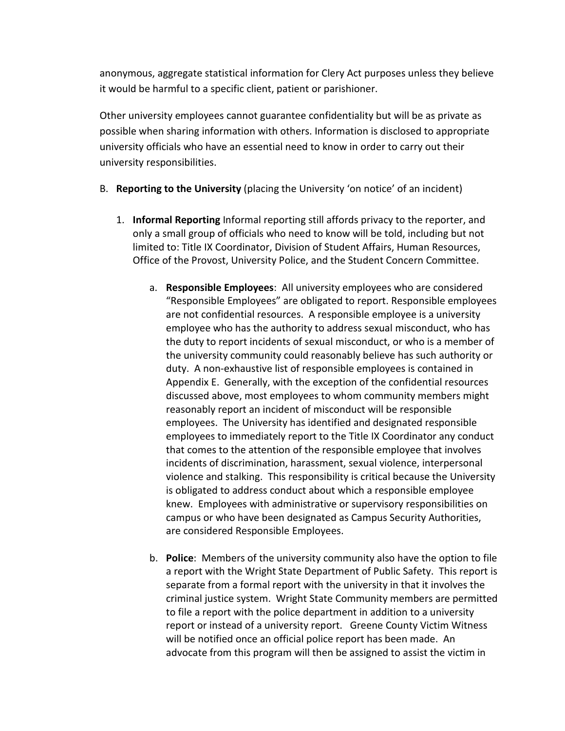anonymous, aggregate statistical information for Clery Act purposes unless they believe it would be harmful to a specific client, patient or parishioner.

Other university employees cannot guarantee confidentiality but will be as private as possible when sharing information with others. Information is disclosed to appropriate university officials who have an essential need to know in order to carry out their university responsibilities.

- B. **Reporting to the University** (placing the University 'on notice' of an incident)
	- 1. **Informal Reporting** Informal reporting still affords privacy to the reporter, and only a small group of officials who need to know will be told, including but not limited to: Title IX Coordinator, Division of Student Affairs, Human Resources, Office of the Provost, University Police, and the Student Concern Committee.
		- a. **Responsible Employees**: All university employees who are considered "Responsible Employees" are obligated to report. Responsible employees are not confidential resources. A responsible employee is a university employee who has the authority to address sexual misconduct, who has the duty to report incidents of sexual misconduct, or who is a member of the university community could reasonably believe has such authority or duty. A non-exhaustive list of responsible employees is contained in Appendix E. Generally, with the exception of the confidential resources discussed above, most employees to whom community members might reasonably report an incident of misconduct will be responsible employees. The University has identified and designated responsible employees to immediately report to the Title IX Coordinator any conduct that comes to the attention of the responsible employee that involves incidents of discrimination, harassment, sexual violence, interpersonal violence and stalking. This responsibility is critical because the University is obligated to address conduct about which a responsible employee knew. Employees with administrative or supervisory responsibilities on campus or who have been designated as Campus Security Authorities, are considered Responsible Employees.
		- b. **Police**: Members of the university community also have the option to file a report with the Wright State Department of Public Safety. This report is separate from a formal report with the university in that it involves the criminal justice system. Wright State Community members are permitted to file a report with the police department in addition to a university report or instead of a university report. Greene County Victim Witness will be notified once an official police report has been made. An advocate from this program will then be assigned to assist the victim in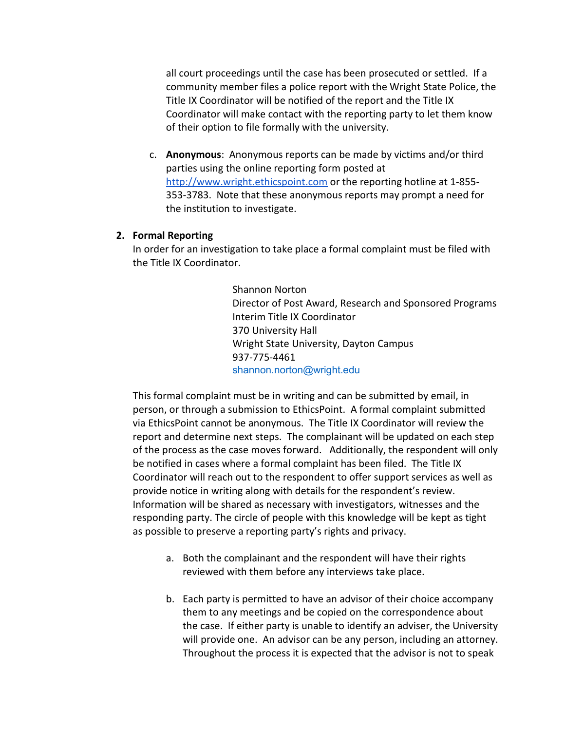all court proceedings until the case has been prosecuted or settled. If a community member files a police report with the Wright State Police, the Title IX Coordinator will be notified of the report and the Title IX Coordinator will make contact with the reporting party to let them know of their option to file formally with the university.

c. **Anonymous**: Anonymous reports can be made by victims and/or third parties using the online reporting form posted a[t](http://www.wright.ethicspoint.com/) [http://www.wright.ethicspoint.com](http://www.wright.ethicspoint.com/) or the reporting hotline at 1-855- 353-3783. Note that these anonymous reports may prompt a need for the institution to investigate.

### **2. Formal Reporting**

In order for an investigation to take place a formal complaint must be filed with the Title IX Coordinator.

> Shannon Norton Director of Post Award, Research and Sponsored Programs Interim Title IX Coordinator 370 University Hall Wright State University, Dayton Campus 937-775-4461 [shannon.norton@wright.edu](mailto:shannon.norton@wright.edu)

This formal complaint must be in writing and can be submitted by email, in person, or through a submission to EthicsPoint. A formal complaint submitted via EthicsPoint cannot be anonymous. The Title IX Coordinator will review the report and determine next steps. The complainant will be updated on each step of the process as the case moves forward. Additionally, the respondent will only be notified in cases where a formal complaint has been filed. The Title IX Coordinator will reach out to the respondent to offer support services as well as provide notice in writing along with details for the respondent's review. Information will be shared as necessary with investigators, witnesses and the responding party. The circle of people with this knowledge will be kept as tight as possible to preserve a reporting party's rights and privacy.

- a. Both the complainant and the respondent will have their rights reviewed with them before any interviews take place.
- b. Each party is permitted to have an advisor of their choice accompany them to any meetings and be copied on the correspondence about the case. If either party is unable to identify an adviser, the University will provide one. An advisor can be any person, including an attorney. Throughout the process it is expected that the advisor is not to speak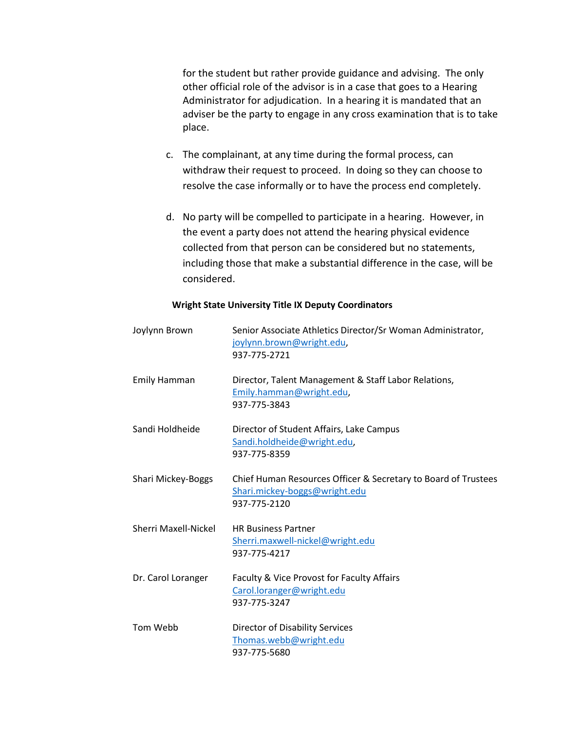for the student but rather provide guidance and advising. The only other official role of the advisor is in a case that goes to a Hearing Administrator for adjudication. In a hearing it is mandated that an adviser be the party to engage in any cross examination that is to take place.

- c. The complainant, at any time during the formal process, can withdraw their request to proceed. In doing so they can choose to resolve the case informally or to have the process end completely.
- d. No party will be compelled to participate in a hearing. However, in the event a party does not attend the hearing physical evidence collected from that person can be considered but no statements, including those that make a substantial difference in the case, will be considered.

#### **Wright State University Title IX Deputy Coordinators**

| Joylynn Brown               | Senior Associate Athletics Director/Sr Woman Administrator,<br>joylynn.brown@wright.edu,<br>937-775-2721        |
|-----------------------------|-----------------------------------------------------------------------------------------------------------------|
| <b>Emily Hamman</b>         | Director, Talent Management & Staff Labor Relations,<br>Emily.hamman@wright.edu,<br>937-775-3843                |
| Sandi Holdheide             | Director of Student Affairs, Lake Campus<br>Sandi.holdheide@wright.edu,<br>937-775-8359                         |
| <b>Shari Mickey-Boggs</b>   | Chief Human Resources Officer & Secretary to Board of Trustees<br>Shari.mickey-boggs@wright.edu<br>937-775-2120 |
| <b>Sherri Maxell-Nickel</b> | <b>HR Business Partner</b><br>Sherri.maxwell-nickel@wright.edu<br>937-775-4217                                  |
| Dr. Carol Loranger          | Faculty & Vice Provost for Faculty Affairs<br>Carol.loranger@wright.edu<br>937-775-3247                         |
| Tom Webb                    | <b>Director of Disability Services</b><br>Thomas.webb@wright.edu<br>937-775-5680                                |